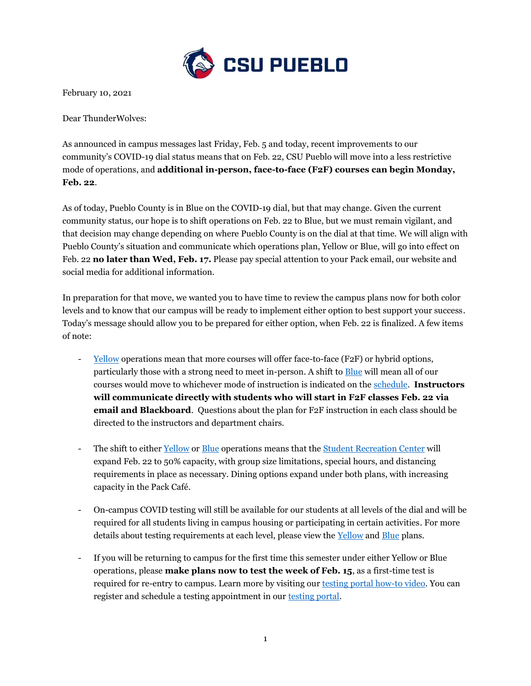

February 10, 2021

Dear ThunderWolves:

As announced in campus messages last Friday, Feb. 5 and today, recent improvements to our community's COVID-19 dial status means that on Feb. 22, CSU Pueblo will move into a less restrictive mode of operations, and **additional in-person, face-to-face (F2F) courses can begin Monday, Feb. 22**.

As of today, Pueblo County is in Blue on the COVID-19 dial, but that may change. Given the current community status, our hope is to shift operations on Feb. 22 to Blue, but we must remain vigilant, and that decision may change depending on where Pueblo County is on the dial at that time. We will align with Pueblo County's situation and communicate which operations plan, Yellow or Blue, will go into effect on Feb. 22 **no later than Wed, Feb. 17.** Please pay special attention to your Pack email, our website and social media for additional information.

In preparation for that move, we wanted you to have time to review the campus plans now for both color levels and to know that our campus will be ready to implement either option to best support your success. Today's message should allow you to be prepared for either option, when Feb. 22 is finalized. A few items of note:

- [Yellow](https://www.csupueblo.edu/coronavirus/_doc/yellow-operations-plan.pdf) operations mean that more courses will offer face-to-face (F2F) or hybrid options, particularly those with a strong need to meet in-person. A shift to [Blue](https://www.csupueblo.edu/coronavirus/_doc/blue-operations-plan.pdf) will mean all of our courses would move to whichever mode of instruction is indicated on the [schedule.](https://static.www.csupueblo.edu/courseofferings/mainfrm_p.asp?tabprog=semester_p) **Instructors will communicate directly with students who will start in F2F classes Feb. 22 via email and Blackboard**. Questions about the plan for F2F instruction in each class should be directed to the instructors and department chairs.
- The shift to either [Yellow](https://www.csupueblo.edu/coronavirus/_doc/yellow-operations-plan.pdf) or [Blue](https://www.csupueblo.edu/coronavirus/_doc/blue-operations-plan.pdf) operations means that the [Student Recreation Center](https://www.csupueblo.edu/thunderwolf-recreation/index.html) will expand Feb. 22 to 50% capacity, with group size limitations, special hours, and distancing requirements in place as necessary. Dining options expand under both plans, with increasing capacity in the Pack Café.
- On-campus COVID testing will still be available for our students at all levels of the dial and will be required for all students living in campus housing or participating in certain activities. For more details about testing requirements at each level, please view the [Yellow](https://www.csupueblo.edu/coronavirus/_doc/yellow-operations-plan.pdf) an[d Blue](https://www.csupueblo.edu/coronavirus/_doc/blue-operations-plan.pdf) plans.
- If you will be returning to campus for the first time this semester under either Yellow or Blue operations, please **make plans now to test the week of Feb. 15**, as a first-time test is required for re-entry to campus. Learn more by visiting ou[r testing portal how-to video.](https://www.youtube.com/watch?v=ubmqtELqAGo&feature=youtu.be) You can register and schedule a testing appointment in our [testing portal.](https://csupueblo.smartbacktowork.com/register)